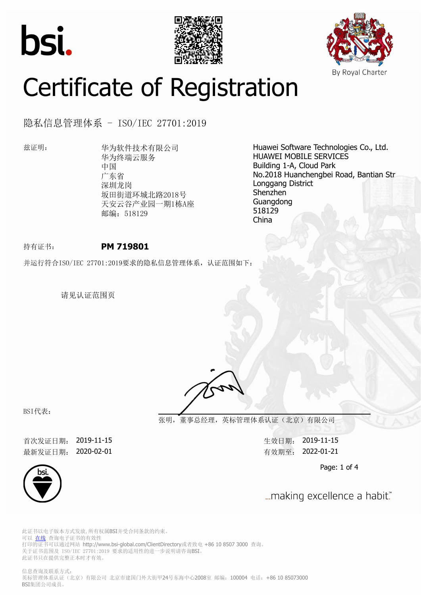





# Certificate of Registration

隐私信息管理体系 - ISO/IEC 27701:2019

兹证明: 华为软件技术有限公司 华为终端云服务 中国 广东省 深圳龙岗 坂田街道环城北路2018号 天安云谷产业园一期1栋A座 邮编: 518129

Huawei Software Technologies Co., Ltd. HUAWEI MOBILE SERVICES Building 1-A, Cloud Park No.2018 Huanchengbei Road, Bantian Str Longgang District Shenzhen Guangdong 518129 China

## 持有证书: **PM 719801**

并运行符合ISO/IEC 27701:2019要求的隐私信息管理体系, 认证范围如下:

请见认证范围页

BSI代表:

**张明,董事总经理,英标管理体系认证(北京)有限公司**

首次发证日期: 2019-11-15 生效日期: 2019-11-15 最新发证日期: 2020-02-01 **butter and the control of the control control control control control control control control control control control de fit and a fit and definite the control control control control de fit and a fit a** 

Page: 1 of 4



... making excellence a habit."

此证书以电子版本方式发放,所有权属BSI并受合同条款的约束。 可以 [在线](https://pgplus.bsigroup.com/CertificateValidation/CertificateValidator.aspx?CertificateNumber=PM+719801&ReIssueDate=01%2f02%2f2020&Template=cn) 查询电子证书的有效性 打印的证书可以通过网站 http://www.bsi-global.com/ClientDirectory或者致电 +86 10 8507 3000 查询。 关于证书范围及 ISO/IEC 27701:2019 要求的适用性的进一步说明请咨询BSI。 此证书只在提供完整正本时才有效。

信息查询及联系方式: 英标管理体系认证(北京)有限公司 北京市建国门外大街甲24号东海中心2008室 邮编: 100004 电话: +86 10 85073000 BSI集团公司成员。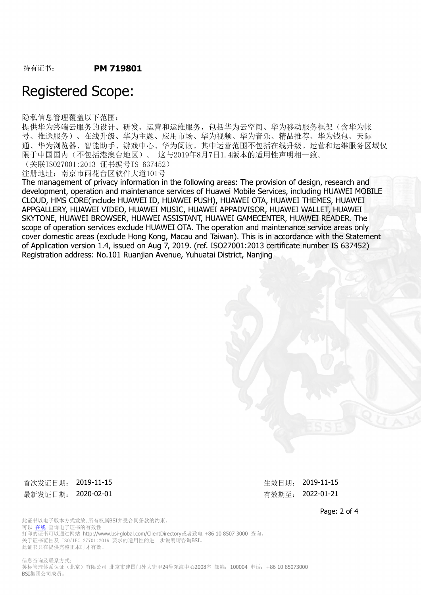## Registered Scope:

隐私信息管理覆盖以下范围:

提供华为终端云服务的设计、研发、运营和运维服务,包括华为云空间、华为移动服务框架(含华为帐 号、推送服务)、在线升级、华为主题、应用市场、华为视频、华为音乐、精品推荐、华为钱包、天际 通、华为浏览器、智能助手、游戏中心、华为阅读。其中运营范围不包括在线升级。运营和运维服务区域仅 限于中国国内(不包括港澳台地区)。 这与2019年8月7日1.4版本的适用性声明相一致。

(关联ISO27001:2013 证书编号IS 637452)

注册地址:南京市雨花台区软件大道101号

The management of privacy information in the following areas: The provision of design, research and development, operation and maintenance services of Huawei Mobile Services, including HUAWEI MOBILE CLOUD, HMS CORE(include HUAWEI ID, HUAWEI PUSH), HUAWEI OTA, HUAWEI THEMES, HUAWEI APPGALLERY, HUAWEI VIDEO, HUAWEI MUSIC, HUAWEI APPADVISOR, HUAWEI WALLET, HUAWEI SKYTONE, HUAWEI BROWSER, HUAWEI ASSISTANT, HUAWEI GAMECENTER, HUAWEI READER. The scope of operation services exclude HUAWEI OTA. The operation and maintenance service areas only cover domestic areas (exclude Hong Kong, Macau and Taiwan). This is in accordance with the Statement of Application version 1.4, issued on Aug 7, 2019. (ref. ISO27001:2013 certificate number IS 637452) Registration address: No.101 Ruanjian Avenue, Yuhuatai District, Nanjing

首次发证日期: 2019-11-15 2000 年效日期: 2019-11-15 最新发证日期: 2020-02-01 <br> **最新发证日期: 2020-02-01** 

Page: 2 of 4

此证书以电子版本方式发放,所有权属BSI并受合同条款的约束。 可以 [在线](https://pgplus.bsigroup.com/CertificateValidation/CertificateValidator.aspx?CertificateNumber=PM+719801&ReIssueDate=01%2f02%2f2020&Template=cn) 查询电子证书的有效性 打印的证书可以通过网站 http://www.bsi-global.com/ClientDirectory或者致电 +86 10 8507 3000 查询。 关于证书范围及 ISO/IEC 27701:2019 要求的适用性的进一步说明请咨询BSI。 此证书只在提供完整正本时才有效。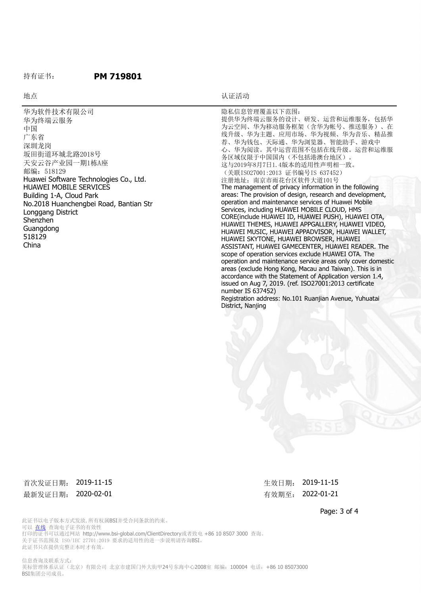### 持有证书: **PM 719801**

#### 地点 地点 医心包的 医心包的 医心包的 医心包的 计正式式

华为软件技术有限公司 华为终端云服务 中国 广东省 深圳龙岗 坂田街道环城北路2018号 天安云谷产业园一期1栋A座 邮编: 518129 Huawei Software Technologies Co., Ltd. HUAWEI MOBILE SERVICES Building 1-A, Cloud Park No.2018 Huanchengbei Road, Bantian Str Longgang District Shenzhen Guangdong 518129 China

隐私信息管理覆盖以下范围: 提供华为终端云服务的设计、研发、运营和运维服务,包括华 为云空间、华为移动服务框架(含华为帐号、推送服务)、在 线升级、华为主题、应用市场、华为视频、华为音乐、精品推 荐、华为钱包、天际通、华为浏览器、智能助手、游戏中 心、华为阅读。其中运营范围不包括在线升级。运营和运维服 务区域仅限于中国国内(不包括港澳台地区)。 这与2019年8月7日1.4版本的适用性声明相一致。 (关联ISO27001:2013 证书编号IS 637452) 注册地址:南京市雨花台区软件大道101号 The management of privacy information in the following areas: The provision of design, research and development, operation and maintenance services of Huawei Mobile Services, including HUAWEI MOBILE CLOUD, HMS CORE(include HUAWEI ID, HUAWEI PUSH), HUAWEI OTA, HUAWEI THEMES, HUAWEI APPGALLERY, HUAWEI VIDEO, HUAWEI MUSIC, HUAWEI APPADVISOR, HUAWEI WALLET, HUAWEI SKYTONE, HUAWEI BROWSER, HUAWEI ASSISTANT, HUAWEI GAMECENTER, HUAWEI READER. The scope of operation services exclude HUAWEI OTA. The operation and maintenance service areas only cover domestic areas (exclude Hong Kong, Macau and Taiwan). This is in accordance with the Statement of Application version 1.4, issued on Aug 7, 2019. (ref. ISO27001:2013 certificate number IS 637452) Registration address: No.101 Ruanjian Avenue, Yuhuatai District, Nanjing

首次发证日期: 2019-11-15 カランス またには エコン 生效日期: 2019-11-15 最新发证日期: 2020-02-01 <br> **最新发证日期: 2020-02-01** 

Page: 3 of 4

此证书以电子版本方式发放,所有权属BSI并受合同条款的约束。 可以 [在线](https://pgplus.bsigroup.com/CertificateValidation/CertificateValidator.aspx?CertificateNumber=PM+719801&ReIssueDate=01%2f02%2f2020&Template=cn) 查询电子证书的有效性 打印的证书可以通过网站 http://www.bsi-global.com/ClientDirectory或者致电 +86 10 8507 3000 查询。 关于证书范围及 ISO/IEC 27701:2019 要求的适用性的进一步说明请咨询BSI。 此证书只在提供完整正本时才有效。